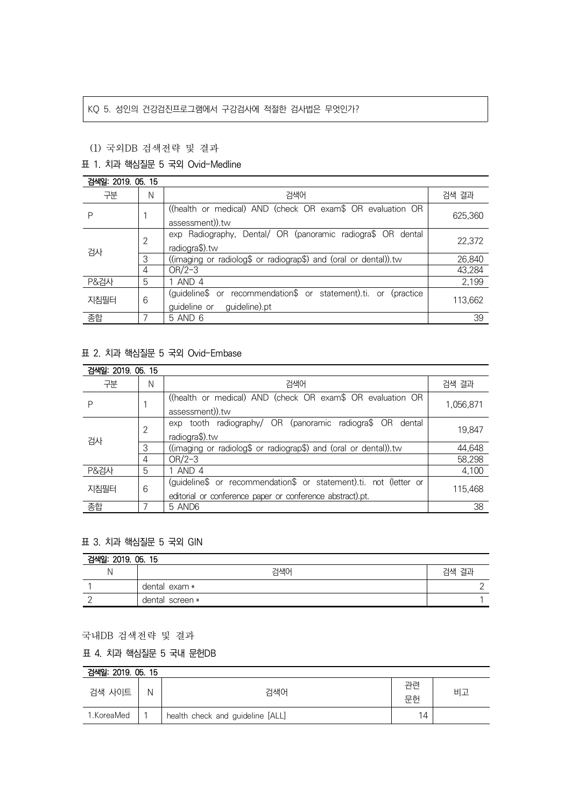### KQ 5. 성인의 건강검진프로그램에서 구강검사에 적절한 검사법은 무엇인가?

### (1) 국외DB 검색전략 및 결과

### 표 1. 치과 핵심질문 5 국외 Ovid-Medline

| 검색일: 2019, 05, 15 |   |                                                                                                      |         |  |
|-------------------|---|------------------------------------------------------------------------------------------------------|---------|--|
| 구분                | N | 검색어                                                                                                  | 검색 결과   |  |
| P                 |   | ((health or medical) AND (check OR exam\$ OR evaluation OR<br>assessment)).tw                        | 625.360 |  |
| 검사                | 2 | exp Radiography, Dental/ OR (panoramic radiogra\$ OR dental<br>radiogra\$).tw                        | 22,372  |  |
|                   | 3 | ((imaging or radiolog\$ or radiograp\$) and (oral or dental)).tw                                     | 26,840  |  |
|                   | 4 | $OR/2-3$                                                                                             | 43,284  |  |
| P&검사              | 5 | 1 AND 4                                                                                              | 2,199   |  |
| 지침필터              | 6 | (guideline\$ or recommendation\$ or statement).ti. or<br>(practice)<br>guideline or<br>guideline).pt | 113,662 |  |
| 종합                |   | 5 AND 6                                                                                              | 39      |  |

## 표 2. 치과 핵심질문 5 국외 Ovid-Embase

| 검색일: 2019, 05, 15 |   |                                                                   |           |  |  |
|-------------------|---|-------------------------------------------------------------------|-----------|--|--|
| 구분                | N | 검색어                                                               | 검색 결과     |  |  |
| Ρ                 |   | ((health or medical) AND (check OR exam\$ OR evaluation OR        | 1,056,871 |  |  |
|                   |   | assessment)).tw                                                   |           |  |  |
| 검사                | 2 | exp tooth radiography/ OR (panoramic radiogra\$ OR<br>dental      | 19,847    |  |  |
|                   |   | radiogra\$).tw                                                    |           |  |  |
|                   | 3 | ((imaging or radiolog\$ or radiograp\$) and (oral or dental)).tw  | 44,648    |  |  |
|                   | 4 | $OR/2-3$                                                          | 58,298    |  |  |
| <b>P&amp;검사</b>   | 5 | AND 4                                                             | 4,100     |  |  |
| 지침필터              | 6 | (guideline\$ or recommendation\$ or statement).ti. not (letter or | 115,468   |  |  |
|                   |   | editorial or conference paper or conference abstract).pt.         |           |  |  |
| 종합                |   | 5 AND6                                                            | 38        |  |  |

# 표 3. 치과 핵심질문 5 국외 GIN

| 검색일: 2019. 05. 15 |                 |       |  |  |
|-------------------|-----------------|-------|--|--|
|                   | 검색어             | 검색 결과 |  |  |
|                   | dental exam *   |       |  |  |
|                   | dental screen * |       |  |  |

### 국내DB 검색전략 및 결과

### 표 4. 치과 핵심질문 5 국내 문헌DB

| 검색일: 2019, 05, 15 |   |                                  |          |    |  |  |
|-------------------|---|----------------------------------|----------|----|--|--|
| 검색 사이트            | N | 검색어                              | 과려<br>문헌 | 비고 |  |  |
| 1.KoreaMed        |   | health check and guideline [ALL] | 14       |    |  |  |